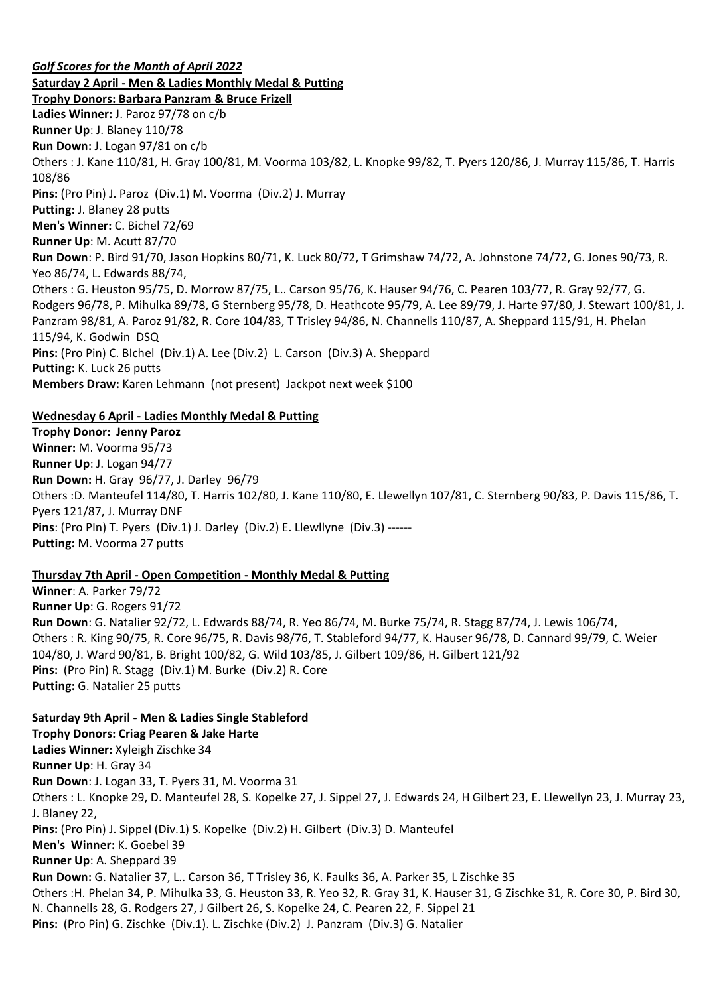*Golf Scores for the Month of April 2022* **Saturday 2 April - Men & Ladies Monthly Medal & Putting Trophy Donors: Barbara Panzram & Bruce Frizell Ladies Winner:** J. Paroz 97/78 on c/b **Runner Up**: J. Blaney 110/78 **Run Down:** J. Logan 97/81 on c/b Others : J. Kane 110/81, H. Gray 100/81, M. Voorma 103/82, L. Knopke 99/82, T. Pyers 120/86, J. Murray 115/86, T. Harris 108/86 **Pins:** (Pro Pin) J. Paroz (Div.1) M. Voorma (Div.2) J. Murray **Putting:** J. Blaney 28 putts **Men's Winner:** C. Bichel 72/69 **Runner Up**: M. Acutt 87/70 **Run Down**: P. Bird 91/70, Jason Hopkins 80/71, K. Luck 80/72, T Grimshaw 74/72, A. Johnstone 74/72, G. Jones 90/73, R. Yeo 86/74, L. Edwards 88/74, Others : G. Heuston 95/75, D. Morrow 87/75, L.. Carson 95/76, K. Hauser 94/76, C. Pearen 103/77, R. Gray 92/77, G. Rodgers 96/78, P. Mihulka 89/78, G Sternberg 95/78, D. Heathcote 95/79, A. Lee 89/79, J. Harte 97/80, J. Stewart 100/81, J. Panzram 98/81, A. Paroz 91/82, R. Core 104/83, T Trisley 94/86, N. Channells 110/87, A. Sheppard 115/91, H. Phelan 115/94, K. Godwin DSQ **Pins:** (Pro Pin) C. BIchel (Div.1) A. Lee (Div.2) L. Carson (Div.3) A. Sheppard **Putting:** K. Luck 26 putts **Members Draw:** Karen Lehmann (not present) Jackpot next week \$100

# **Wednesday 6 April - Ladies Monthly Medal & Putting**

**Trophy Donor: Jenny Paroz Winner:** M. Voorma 95/73 **Runner Up**: J. Logan 94/77 **Run Down:** H. Gray 96/77, J. Darley 96/79 Others :D. Manteufel 114/80, T. Harris 102/80, J. Kane 110/80, E. Llewellyn 107/81, C. Sternberg 90/83, P. Davis 115/86, T. Pyers 121/87, J. Murray DNF **Pins**: (Pro PIn) T. Pyers (Div.1) J. Darley (Div.2) E. Llewllyne (Div.3) ------ **Putting:** M. Voorma 27 putts

# **Thursday 7th April - Open Competition - Monthly Medal & Putting**

**Winner**: A. Parker 79/72 **Runner Up**: G. Rogers 91/72 **Run Down**: G. Natalier 92/72, L. Edwards 88/74, R. Yeo 86/74, M. Burke 75/74, R. Stagg 87/74, J. Lewis 106/74, Others : R. King 90/75, R. Core 96/75, R. Davis 98/76, T. Stableford 94/77, K. Hauser 96/78, D. Cannard 99/79, C. Weier 104/80, J. Ward 90/81, B. Bright 100/82, G. Wild 103/85, J. Gilbert 109/86, H. Gilbert 121/92 **Pins:** (Pro Pin) R. Stagg (Div.1) M. Burke (Div.2) R. Core **Putting:** G. Natalier 25 putts

# **Saturday 9th April - Men & Ladies Single Stableford**

**Trophy Donors: Criag Pearen & Jake Harte Ladies Winner:** Xyleigh Zischke 34 **Runner Up**: H. Gray 34 **Run Down**: J. Logan 33, T. Pyers 31, M. Voorma 31 Others : L. Knopke 29, D. Manteufel 28, S. Kopelke 27, J. Sippel 27, J. Edwards 24, H Gilbert 23, E. Llewellyn 23, J. Murray 23, J. Blaney 22, **Pins:** (Pro Pin) J. Sippel (Div.1) S. Kopelke (Div.2) H. Gilbert (Div.3) D. Manteufel **Men's Winner:** K. Goebel 39 **Runner Up**: A. Sheppard 39 **Run Down:** G. Natalier 37, L.. Carson 36, T Trisley 36, K. Faulks 36, A. Parker 35, L Zischke 35 Others :H. Phelan 34, P. Mihulka 33, G. Heuston 33, R. Yeo 32, R. Gray 31, K. Hauser 31, G Zischke 31, R. Core 30, P. Bird 30, N. Channells 28, G. Rodgers 27, J Gilbert 26, S. Kopelke 24, C. Pearen 22, F. Sippel 21 **Pins:** (Pro Pin) G. Zischke (Div.1). L. Zischke (Div.2) J. Panzram (Div.3) G. Natalier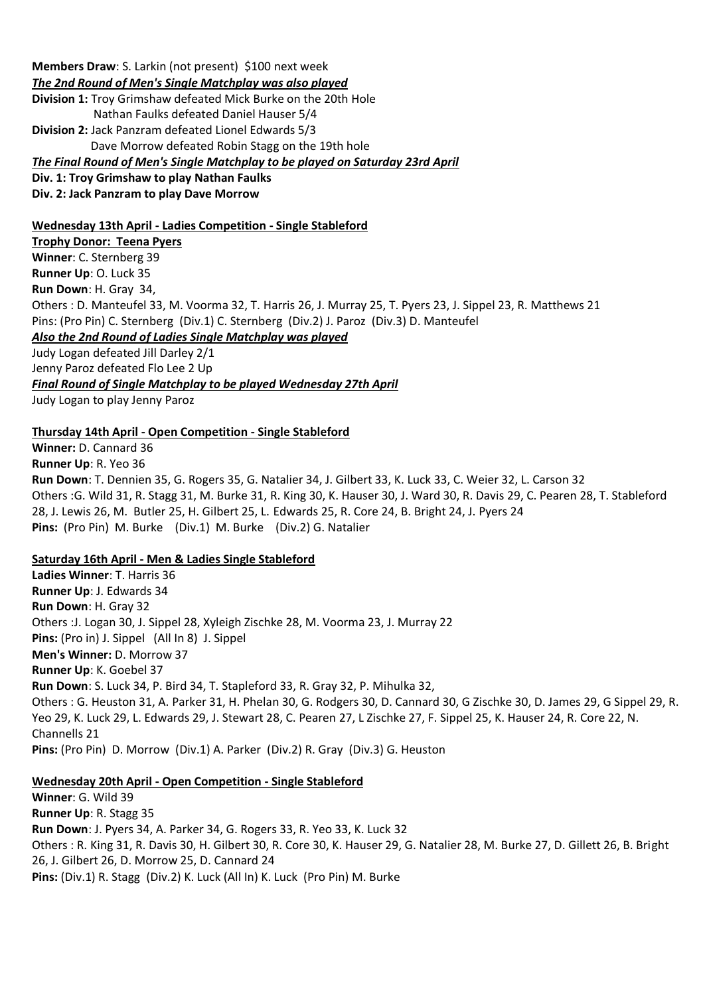**Members Draw**: S. Larkin (not present) \$100 next week *The 2nd Round of Men's Single Matchplay was also played* **Division 1:** Troy Grimshaw defeated Mick Burke on the 20th Hole Nathan Faulks defeated Daniel Hauser 5/4 **Division 2:** Jack Panzram defeated Lionel Edwards 5/3 Dave Morrow defeated Robin Stagg on the 19th hole *The Final Round of Men's Single Matchplay to be played on Saturday 23rd April* **Div. 1: Troy Grimshaw to play Nathan Faulks**

**Div. 2: Jack Panzram to play Dave Morrow**

#### **Wednesday 13th April - Ladies Competition - Single Stableford**

**Trophy Donor: Teena Pyers Winner**: C. Sternberg 39 **Runner Up**: O. Luck 35 **Run Down**: H. Gray 34, Others : D. Manteufel 33, M. Voorma 32, T. Harris 26, J. Murray 25, T. Pyers 23, J. Sippel 23, R. Matthews 21 Pins: (Pro Pin) C. Sternberg (Div.1) C. Sternberg (Div.2) J. Paroz (Div.3) D. Manteufel *Also the 2nd Round of Ladies Single Matchplay was played*

Judy Logan defeated Jill Darley 2/1 Jenny Paroz defeated Flo Lee 2 Up *Final Round of Single Matchplay to be played Wednesday 27th April* Judy Logan to play Jenny Paroz

#### **Thursday 14th April - Open Competition - Single Stableford**

**Winner:** D. Cannard 36 **Runner Up**: R. Yeo 36

**Run Down**: T. Dennien 35, G. Rogers 35, G. Natalier 34, J. Gilbert 33, K. Luck 33, C. Weier 32, L. Carson 32 Others :G. Wild 31, R. Stagg 31, M. Burke 31, R. King 30, K. Hauser 30, J. Ward 30, R. Davis 29, C. Pearen 28, T. Stableford 28, J. Lewis 26, M. Butler 25, H. Gilbert 25, L. Edwards 25, R. Core 24, B. Bright 24, J. Pyers 24 **Pins:** (Pro Pin) M. Burke (Div.1) M. Burke (Div.2) G. Natalier

#### **Saturday 16th April - Men & Ladies Single Stableford**

**Ladies Winner**: T. Harris 36 **Runner Up**: J. Edwards 34 **Run Down**: H. Gray 32 Others :J. Logan 30, J. Sippel 28, Xyleigh Zischke 28, M. Voorma 23, J. Murray 22 **Pins:** (Pro in) J. Sippel (All In 8) J. Sippel **Men's Winner:** D. Morrow 37 **Runner Up**: K. Goebel 37 **Run Down**: S. Luck 34, P. Bird 34, T. Stapleford 33, R. Gray 32, P. Mihulka 32, Others : G. Heuston 31, A. Parker 31, H. Phelan 30, G. Rodgers 30, D. Cannard 30, G Zischke 30, D. James 29, G Sippel 29, R. Yeo 29, K. Luck 29, L. Edwards 29, J. Stewart 28, C. Pearen 27, L Zischke 27, F. Sippel 25, K. Hauser 24, R. Core 22, N. Channells 21 **Pins:** (Pro Pin) D. Morrow (Div.1) A. Parker (Div.2) R. Gray (Div.3) G. Heuston

#### **Wednesday 20th April - Open Competition - Single Stableford**

**Winner**: G. Wild 39 **Runner Up**: R. Stagg 35 **Run Down**: J. Pyers 34, A. Parker 34, G. Rogers 33, R. Yeo 33, K. Luck 32 Others : R. King 31, R. Davis 30, H. Gilbert 30, R. Core 30, K. Hauser 29, G. Natalier 28, M. Burke 27, D. Gillett 26, B. Bright 26, J. Gilbert 26, D. Morrow 25, D. Cannard 24 **Pins:** (Div.1) R. Stagg (Div.2) K. Luck (All In) K. Luck (Pro Pin) M. Burke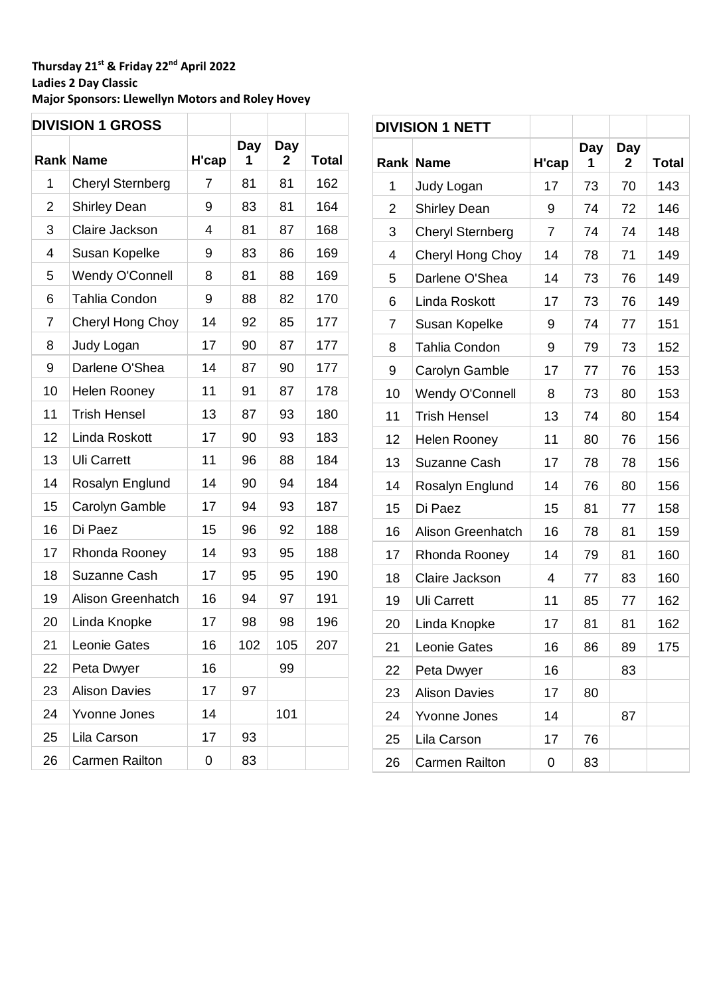# **Thursday 21st & Friday 22nd April 2022 Ladies 2 Day Classic Major Sponsors: Llewellyn Motors and Roley Hovey**

 $\overline{\Gamma}$ 

| <b>DIVISION 1 GROSS</b> |                          |       |          |          |              |
|-------------------------|--------------------------|-------|----------|----------|--------------|
|                         | <b>Rank Name</b>         | H'cap | Day<br>1 | Day<br>2 | <b>Total</b> |
| 1                       | <b>Cheryl Sternberg</b>  | 7     | 81       | 81       | 162          |
| 2                       | <b>Shirley Dean</b>      | 9     | 83       | 81       | 164          |
| 3                       | Claire Jackson           | 4     | 81       | 87       | 168          |
| 4                       | Susan Kopelke            | 9     | 83       | 86       | 169          |
| 5                       | <b>Wendy O'Connell</b>   | 8     | 81       | 88       | 169          |
| 6                       | Tahlia Condon            | 9     | 88       | 82       | 170          |
| 7                       | Cheryl Hong Choy         | 14    | 92       | 85       | 177          |
| 8                       | Judy Logan               | 17    | 90       | 87       | 177          |
| 9                       | Darlene O'Shea           | 14    | 87       | 90       | 177          |
| 10                      | <b>Helen Rooney</b>      | 11    | 91       | 87       | 178          |
| 11                      | <b>Trish Hensel</b>      | 13    | 87       | 93       | 180          |
| 12                      | Linda Roskott            | 17    | 90       | 93       | 183          |
| 13                      | <b>Uli Carrett</b>       | 11    | 96       | 88       | 184          |
| 14                      | Rosalyn Englund          | 14    | 90       | 94       | 184          |
| 15                      | Carolyn Gamble           | 17    | 94       | 93       | 187          |
| 16                      | Di Paez                  | 15    | 96       | 92       | 188          |
| 17                      | Rhonda Rooney            | 14    | 93       | 95       | 188          |
| 18                      | <b>Suzanne Cash</b>      | 17    | 95       | 95       | 190          |
| 19                      | <b>Alison Greenhatch</b> | 16    | 94       | 97       | 191          |
| 20                      | Linda Knopke             | 17    | 98       | 98       | 196          |
| 21                      | Leonie Gates             | 16    | 102      | 105      | 207          |
| 22                      | Peta Dwyer               | 16    |          | 99       |              |
| 23                      | <b>Alison Davies</b>     | 17    | 97       |          |              |
| 24                      | <b>Yvonne Jones</b>      | 14    |          | 101      |              |
| 25                      | Lila Carson              | 17    | 93       |          |              |
| 26                      | <b>Carmen Railton</b>    | 0     | 83       |          |              |

|    | <b>DIVISION 1 NETT</b>  |       |          |          |              |
|----|-------------------------|-------|----------|----------|--------------|
|    | <b>Rank Name</b>        | H'cap | Day<br>1 | Day<br>2 | <b>Total</b> |
| 1  | Judy Logan              | 17    | 73       | 70       | 143          |
| 2  | <b>Shirley Dean</b>     | 9     | 74       | 72       | 146          |
| 3  | <b>Cheryl Sternberg</b> | 7     | 74       | 74       | 148          |
| 4  | Cheryl Hong Choy        | 14    | 78       | 71       | 149          |
| 5  | Darlene O'Shea          | 14    | 73       | 76       | 149          |
| 6  | Linda Roskott           | 17    | 73       | 76       | 149          |
| 7  | Susan Kopelke           | 9     | 74       | 77       | 151          |
| 8  | Tahlia Condon           | 9     | 79       | 73       | 152          |
| 9  | Carolyn Gamble          | 17    | 77       | 76       | 153          |
| 10 | <b>Wendy O'Connell</b>  | 8     | 73       | 80       | 153          |
| 11 | <b>Trish Hensel</b>     |       | 74       | 80       | 154          |
| 12 | <b>Helen Rooney</b>     | 11    | 80       | 76       | 156          |
| 13 | Suzanne Cash            | 17    | 78       | 78       | 156          |
| 14 | Rosalyn Englund         | 14    | 76       | 80       | 156          |
| 15 | Di Paez                 | 15    | 81       | 77       | 158          |
| 16 | Alison Greenhatch       | 16    | 78       | 81       | 159          |
| 17 | Rhonda Rooney           | 14    | 79       | 81       | 160          |
| 18 | Claire Jackson          | 4     | 77       | 83       | 160          |
| 19 | <b>Uli Carrett</b>      | 11    | 85       | 77       | 162          |
| 20 | Linda Knopke            | 17    | 81       | 81       | 162          |
| 21 | Leonie Gates            | 16    | 86       | 89       | 175          |
| 22 | Peta Dwyer              | 16    |          | 83       |              |
| 23 | <b>Alison Davies</b>    | 17    | 80       |          |              |
| 24 | Yvonne Jones            | 14    |          | 87       |              |
| 25 | Lila Carson             | 17    | 76       |          |              |
| 26 | <b>Carmen Railton</b>   | 0     | 83       |          |              |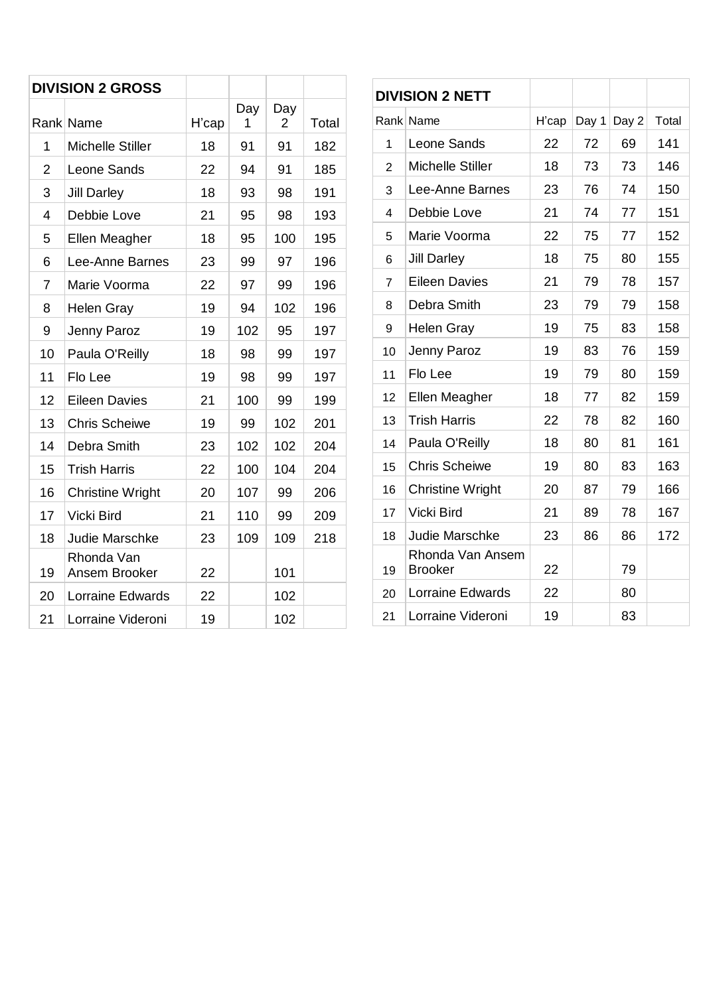|                | <b>DIVISION 2 GROSS</b>     |       |          |          |       |
|----------------|-----------------------------|-------|----------|----------|-------|
|                | Rank Name                   | H'cap | Day<br>1 | Day<br>2 | Total |
| 1              | <b>Michelle Stiller</b>     | 18    | 91       | 91       | 182   |
| 2              | Leone Sands                 | 22    | 94       | 91       | 185   |
| 3              | <b>Jill Darley</b>          | 18    | 93       | 98       | 191   |
| 4              | Debbie Love                 | 21    | 95       | 98       | 193   |
| 5              | Ellen Meagher               | 18    | 95       | 100      | 195   |
| 6              | Lee-Anne Barnes             | 23    | 99       | 97       | 196   |
| $\overline{7}$ | Marie Voorma                | 22    | 97       | 99       | 196   |
| 8              | <b>Helen Gray</b>           | 19    | 94       | 102      | 196   |
| 9              | Jenny Paroz                 | 19    | 102      | 95       | 197   |
| 10             | Paula O'Reilly              | 18    | 98       | 99       | 197   |
| 11             | Flo Lee                     | 19    | 98       | 99       | 197   |
| 12             | <b>Eileen Davies</b>        | 21    | 100      | 99       | 199   |
| 13             | <b>Chris Scheiwe</b>        | 19    | 99       | 102      | 201   |
| 14             | Debra Smith                 | 23    | 102      | 102      | 204   |
| 15             | <b>Trish Harris</b>         | 22    | 100      | 104      | 204   |
| 16             | <b>Christine Wright</b>     | 20    | 107      | 99       | 206   |
| 17             | Vicki Bird                  | 21    | 110      | 99       | 209   |
| 18             | Judie Marschke              | 23    | 109      | 109      | 218   |
| 19             | Rhonda Van<br>Ansem Brooker | 22    |          | 101      |       |
| 20             | Lorraine Edwards            | 22    |          | 102      |       |
| 21             | Lorraine Videroni           | 19    |          | 102      |       |

| <b>DIVISION 2 NETT</b> |                                    |       |       |       |       |
|------------------------|------------------------------------|-------|-------|-------|-------|
|                        | Rank Name                          | H'cap | Day 1 | Day 2 | Total |
| 1                      | Leone Sands                        | 22    | 72    | 69    | 141   |
| $\overline{2}$         | <b>Michelle Stiller</b>            | 18    | 73    | 73    | 146   |
| 3                      | Lee-Anne Barnes                    | 23    | 76    | 74    | 150   |
| 4                      | Debbie Love                        | 21    | 74    | 77    | 151   |
| 5                      | Marie Voorma                       | 22    | 75    | 77    | 152   |
| 6                      | <b>Jill Darley</b>                 | 18    | 75    | 80    | 155   |
| $\overline{7}$         | <b>Eileen Davies</b>               | 21    | 79    | 78    | 157   |
| 8                      | Debra Smith                        | 23    | 79    | 79    | 158   |
| 9                      | <b>Helen Gray</b>                  | 19    | 75    | 83    | 158   |
| 10                     | Jenny Paroz                        | 19    | 83    | 76    | 159   |
| 11                     | Flo Lee                            | 19    | 79    | 80    | 159   |
| 12                     | Ellen Meagher                      | 18    | 77    | 82    | 159   |
| 13                     | <b>Trish Harris</b>                | 22    | 78    | 82    | 160   |
| 14                     | Paula O'Reilly                     | 18    | 80    | 81    | 161   |
| 15                     | <b>Chris Scheiwe</b>               | 19    | 80    | 83    | 163   |
| 16                     | <b>Christine Wright</b>            | 20    | 87    | 79    | 166   |
| 17                     | Vicki Bird                         | 21    | 89    | 78    | 167   |
| 18                     | <b>Judie Marschke</b>              | 23    | 86    | 86    | 172   |
| 19                     | Rhonda Van Ansem<br><b>Brooker</b> | 22    |       | 79    |       |
| 20                     | Lorraine Edwards                   | 22    |       | 80    |       |
| 21                     | Lorraine Videroni                  | 19    |       | 83    |       |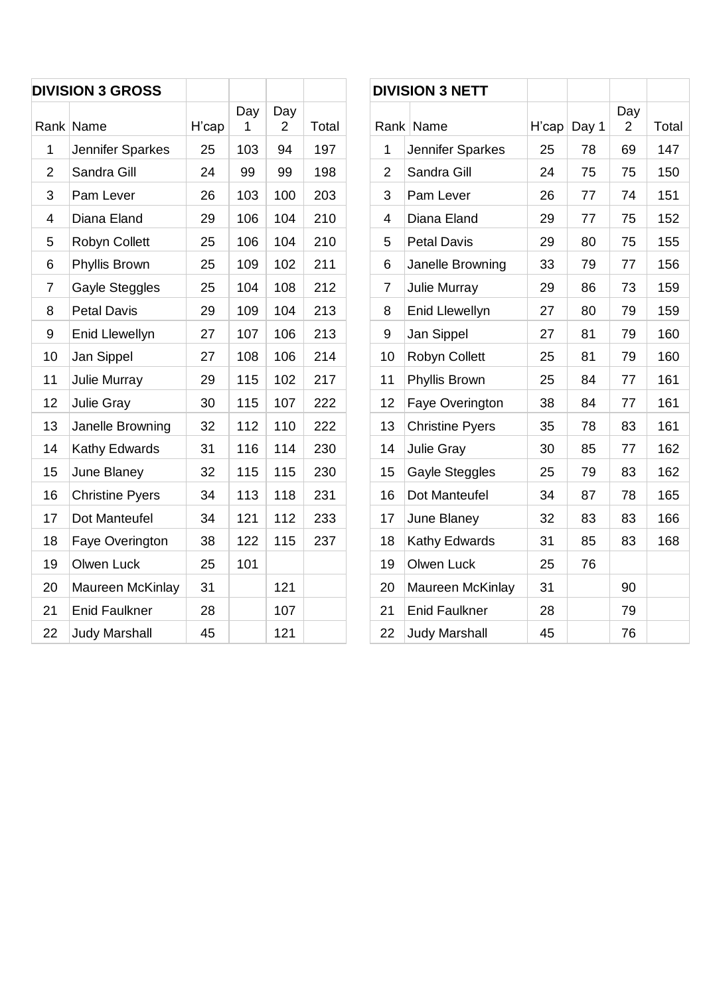| <b>DIVISION 3 GROSS</b> |                        |       |          |          |       |
|-------------------------|------------------------|-------|----------|----------|-------|
|                         | Rank Name              | H'cap | Day<br>1 | Day<br>2 | Total |
| 1                       | Jennifer Sparkes       | 25    | 103      | 94       | 197   |
| $\overline{2}$          | Sandra Gill            | 24    | 99       | 99       | 198   |
| 3                       | Pam Lever              | 26    | 103      | 100      | 203   |
| 4                       | Diana Eland            | 29    | 106      | 104      | 210   |
| 5                       | <b>Robyn Collett</b>   | 25    | 106      | 104      | 210   |
| 6                       | Phyllis Brown          | 25    | 109      | 102      | 211   |
| $\overline{7}$          | Gayle Steggles         | 25    | 104      | 108      | 212   |
| 8                       | <b>Petal Davis</b>     | 29    | 109      | 104      | 213   |
| 9                       | <b>Enid Llewellyn</b>  | 27    | 107      | 106      | 213   |
| 10                      | Jan Sippel             | 27    | 108      | 106      | 214   |
| 11                      | <b>Julie Murray</b>    | 29    | 115      | 102      | 217   |
| 12                      | <b>Julie Gray</b>      | 30    | 115      | 107      | 222   |
| 13                      | Janelle Browning       | 32    | 112      | 110      | 222   |
| 14                      | Kathy Edwards          | 31    | 116      | 114      | 230   |
| 15                      | June Blaney            | 32    | 115      | 115      | 230   |
| 16                      | <b>Christine Pyers</b> | 34    | 113      | 118      | 231   |
| 17                      | Dot Manteufel          | 34    | 121      | 112      | 233   |
| 18                      | Faye Overington        | 38    | 122      | 115      | 237   |
| 19                      | Olwen Luck             | 25    | 101      |          |       |
| 20                      | Maureen McKinlay       | 31    |          | 121      |       |
| 21                      | <b>Enid Faulkner</b>   | 28    |          | 107      |       |
| 22                      | <b>Judy Marshall</b>   | 45    |          | 121      |       |

|                | <b>DIVISION 3 NETT</b> |       |       |                       |       |
|----------------|------------------------|-------|-------|-----------------------|-------|
|                | Rank Name              | H'cap | Day 1 | Day<br>$\overline{2}$ | Total |
| 1              | Jennifer Sparkes       | 25    | 78    | 69                    | 147   |
| $\overline{2}$ | Sandra Gill            | 24    | 75    | 75                    | 150   |
| 3              | Pam Lever              | 26    | 77    | 74                    | 151   |
| 4              | Diana Eland            | 29    | 77    | 75                    | 152   |
| 5              | <b>Petal Davis</b>     |       | 80    | 75                    | 155   |
| 6              | Janelle Browning       |       | 79    | 77                    | 156   |
| 7              | <b>Julie Murray</b>    | 29    | 86    | 73                    | 159   |
| 8              | Enid Llewellyn         | 27    | 80    | 79                    | 159   |
| 9              | Jan Sippel             | 27    | 81    | 79                    | 160   |
| 10             | <b>Robyn Collett</b>   | 25    | 81    | 79                    | 160   |
| 11             | Phyllis Brown          | 25    | 84    | 77                    | 161   |
| 12             | Faye Overington        | 38    | 84    | 77                    | 161   |
| 13             | <b>Christine Pyers</b> | 35    | 78    | 83                    | 161   |
| 14             | <b>Julie Gray</b>      | 30    | 85    | 77                    | 162   |
| 15             | Gayle Steggles         | 25    | 79    | 83                    | 162   |
| 16             | Dot Manteufel          | 34    | 87    | 78                    | 165   |
| 17             | June Blaney            | 32    | 83    | 83                    | 166   |
| 18             | Kathy Edwards          | 31    | 85    | 83                    | 168   |
| 19             | Olwen Luck             | 25    | 76    |                       |       |
| 20             | Maureen McKinlay       | 31    |       | 90                    |       |
| 21             | <b>Enid Faulkner</b>   | 28    |       | 79                    |       |
| 22             | <b>Judy Marshall</b>   | 45    |       | 76                    |       |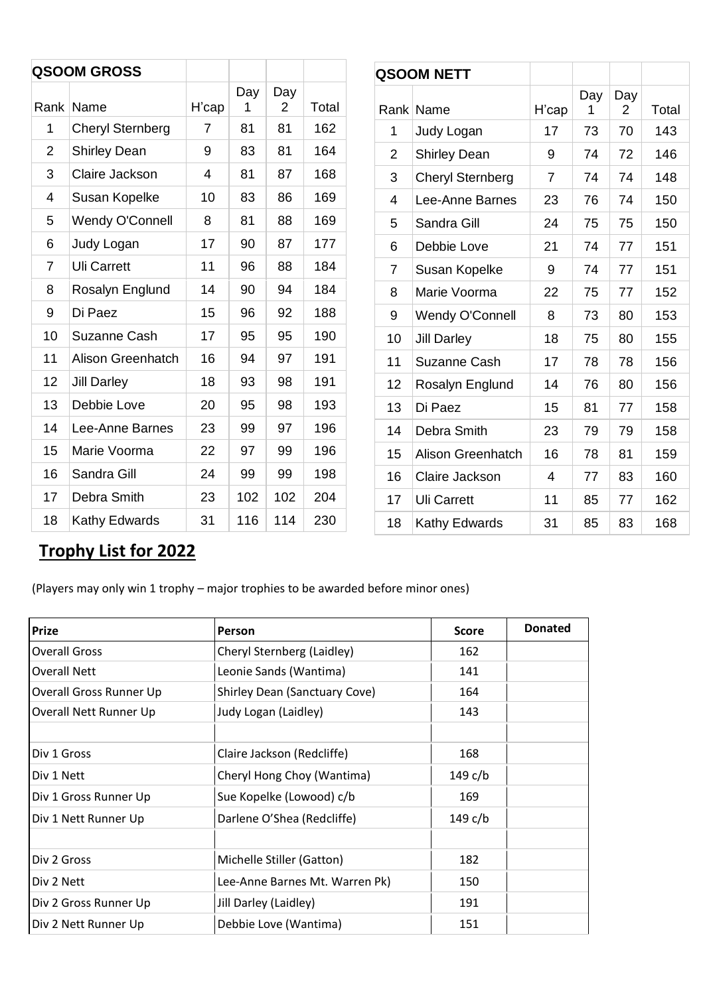| <b>QSOOM GROSS</b>       |                          |                |          |          |       |                 | <b>QSOOM NETT</b>        |                          |          |                       |       |
|--------------------------|--------------------------|----------------|----------|----------|-------|-----------------|--------------------------|--------------------------|----------|-----------------------|-------|
|                          | Rank Name                | H'cap          | Day<br>1 | Day<br>2 | Total |                 | Rank Name                | H'cap                    | Day<br>1 | Day<br>$\overline{2}$ | Total |
| $\mathbf{1}$             | <b>Cheryl Sternberg</b>  | $\overline{7}$ | 81       | 81       | 162   | 1               | Judy Logan               | 17                       | 73       | 70                    |       |
| $\overline{2}$           | <b>Shirley Dean</b>      | 9              | 83       | 81       | 164   | $\overline{2}$  | <b>Shirley Dean</b>      | 9                        | 74       | 72                    |       |
| 3                        | Claire Jackson           | 4              | 81       | 87       | 168   | $\mathfrak{B}$  | <b>Cheryl Sternberg</b>  | $\overline{7}$           | 74       | 74                    |       |
| $\overline{\mathcal{A}}$ | Susan Kopelke            | 10             | 83       | 86       | 169   | $\overline{4}$  | Lee-Anne Barnes          | 23                       | 76       | 74                    |       |
| 5                        | Wendy O'Connell          | 8              | 81       | 88       | 169   | 5               | Sandra Gill              | 24                       | 75       | 75                    |       |
| 6                        | Judy Logan               | 17             | 90       | 87       | 177   | $6\phantom{1}6$ | Debbie Love              | 21                       | 74       | 77                    |       |
| $\overline{7}$           | <b>Uli Carrett</b>       | 11             | 96       | 88       | 184   | $\overline{7}$  | Susan Kopelke            | 9                        | 74       | 77                    |       |
| 8                        | Rosalyn Englund          | 14             | 90       | 94       | 184   | 8               | Marie Voorma             | 22                       | 75       | 77                    |       |
| 9                        | Di Paez                  | 15             | 96       | 92       | 188   | $9\,$           | Wendy O'Connell          | 8                        | 73       | 80                    |       |
| 10                       | Suzanne Cash             | 17             | 95       | 95       | 190   | 10              | <b>Jill Darley</b>       | 18                       | 75       | 80                    |       |
| 11                       | <b>Alison Greenhatch</b> | 16             | 94       | 97       | 191   | 11              | Suzanne Cash             | 17                       | 78       | 78                    |       |
| 12                       | <b>Jill Darley</b>       | 18             | 93       | 98       | 191   | 12              | Rosalyn Englund          | 14                       | 76       | 80                    | 156   |
| 13                       | Debbie Love              | 20             | 95       | 98       | 193   | 13              | Di Paez                  | 15                       | 81       | 77                    | 158   |
| 14                       | Lee-Anne Barnes          | 23             | 99       | 97       | 196   | 14              | Debra Smith              | 23                       | 79       | 79                    | 158   |
| 15                       | Marie Voorma             | 22             | 97       | 99       | 196   | 15              | <b>Alison Greenhatch</b> | 16                       | 78       | 81                    | 159   |
| 16                       | Sandra Gill              | 24             | 99       | 99       | 198   | 16              | Claire Jackson           | $\overline{\mathcal{A}}$ | 77       | 83                    | 160   |
| 17                       | Debra Smith              | 23             | 102      | 102      | 204   | 17              | <b>Uli Carrett</b>       | 11                       | 85       | 77                    | 162   |
| 18                       | Kathy Edwards            | 31             | 116      | 114      | 230   | 18              | Kathy Edwards            | 31                       | 85       | 83                    |       |

# **Trophy List for 2022**

(Players may only win 1 trophy – major trophies to be awarded before minor ones)

| <b>Prize</b>            | Person                         | <b>Score</b> | <b>Donated</b> |
|-------------------------|--------------------------------|--------------|----------------|
| <b>Overall Gross</b>    | Cheryl Sternberg (Laidley)     | 162          |                |
| <b>Overall Nett</b>     | Leonie Sands (Wantima)         | 141          |                |
| Overall Gross Runner Up | Shirley Dean (Sanctuary Cove)  | 164          |                |
| Overall Nett Runner Up  | Judy Logan (Laidley)           | 143          |                |
|                         |                                |              |                |
| Div 1 Gross             | Claire Jackson (Redcliffe)     | 168          |                |
| Div 1 Nett              | Cheryl Hong Choy (Wantima)     | 149 c/b      |                |
| Div 1 Gross Runner Up   | Sue Kopelke (Lowood) c/b       | 169          |                |
| Div 1 Nett Runner Up    | Darlene O'Shea (Redcliffe)     | 149 c/b      |                |
|                         |                                |              |                |
| Div 2 Gross             | Michelle Stiller (Gatton)      | 182          |                |
| Div 2 Nett              | Lee-Anne Barnes Mt. Warren Pk) | 150          |                |
| Div 2 Gross Runner Up   | Jill Darley (Laidley)          | 191          |                |
| Div 2 Nett Runner Up    | Debbie Love (Wantima)          | 151          |                |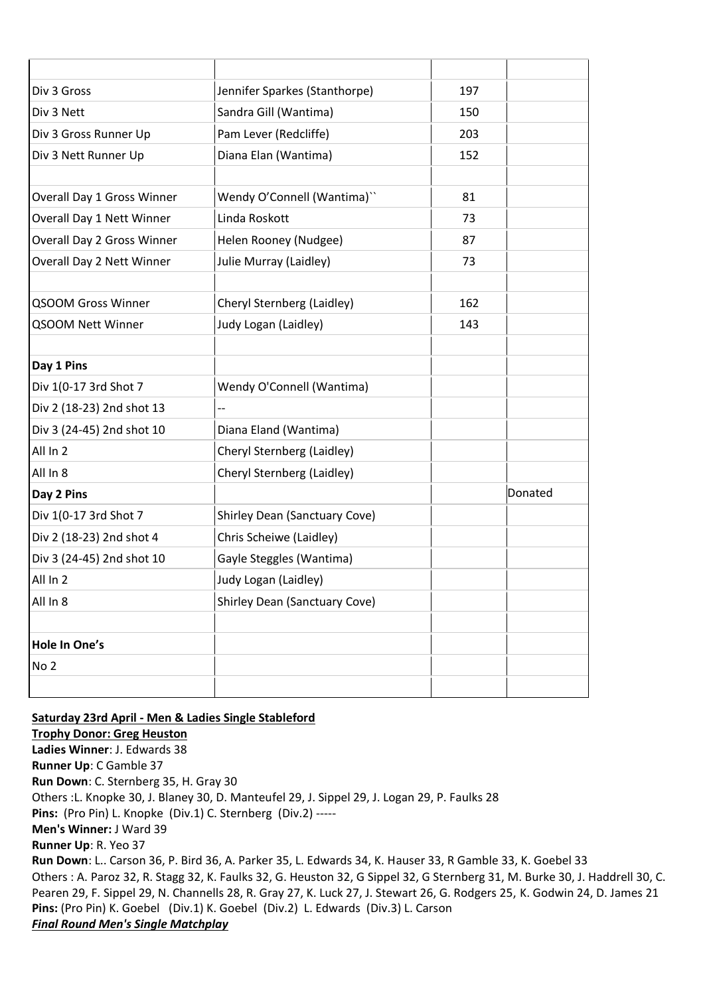| Div 3 Gross                | Jennifer Sparkes (Stanthorpe)        | 197 |         |
|----------------------------|--------------------------------------|-----|---------|
| Div 3 Nett                 | Sandra Gill (Wantima)                | 150 |         |
| Div 3 Gross Runner Up      | Pam Lever (Redcliffe)                | 203 |         |
| Div 3 Nett Runner Up       | Diana Elan (Wantima)                 | 152 |         |
|                            |                                      |     |         |
| Overall Day 1 Gross Winner | Wendy O'Connell (Wantima)"           | 81  |         |
| Overall Day 1 Nett Winner  | Linda Roskott                        | 73  |         |
| Overall Day 2 Gross Winner | Helen Rooney (Nudgee)                | 87  |         |
| Overall Day 2 Nett Winner  | Julie Murray (Laidley)               | 73  |         |
|                            |                                      |     |         |
| <b>QSOOM Gross Winner</b>  | Cheryl Sternberg (Laidley)           | 162 |         |
| QSOOM Nett Winner          | Judy Logan (Laidley)                 | 143 |         |
|                            |                                      |     |         |
| Day 1 Pins                 |                                      |     |         |
| Div 1(0-17 3rd Shot 7      | Wendy O'Connell (Wantima)            |     |         |
| Div 2 (18-23) 2nd shot 13  |                                      |     |         |
| Div 3 (24-45) 2nd shot 10  | Diana Eland (Wantima)                |     |         |
| All In 2                   | Cheryl Sternberg (Laidley)           |     |         |
| All In 8                   | Cheryl Sternberg (Laidley)           |     |         |
| Day 2 Pins                 |                                      |     | Donated |
| Div 1(0-17 3rd Shot 7      | Shirley Dean (Sanctuary Cove)        |     |         |
| Div 2 (18-23) 2nd shot 4   | Chris Scheiwe (Laidley)              |     |         |
| Div 3 (24-45) 2nd shot 10  | Gayle Steggles (Wantima)             |     |         |
| All In 2                   | Judy Logan (Laidley)                 |     |         |
| All In 8                   | <b>Shirley Dean (Sanctuary Cove)</b> |     |         |
|                            |                                      |     |         |
| Hole In One's              |                                      |     |         |
| No <sub>2</sub>            |                                      |     |         |
|                            |                                      |     |         |

**Saturday 23rd April - Men & Ladies Single Stableford Trophy Donor: Greg Heuston Ladies Winner**: J. Edwards 38 **Runner Up**: C Gamble 37 **Run Down**: C. Sternberg 35, H. Gray 30 Others :L. Knopke 30, J. Blaney 30, D. Manteufel 29, J. Sippel 29, J. Logan 29, P. Faulks 28 **Pins:** (Pro Pin) L. Knopke (Div.1) C. Sternberg (Div.2) ----- **Men's Winner:** J Ward 39 **Runner Up**: R. Yeo 37 **Run Down**: L.. Carson 36, P. Bird 36, A. Parker 35, L. Edwards 34, K. Hauser 33, R Gamble 33, K. Goebel 33 Others : A. Paroz 32, R. Stagg 32, K. Faulks 32, G. Heuston 32, G Sippel 32, G Sternberg 31, M. Burke 30, J. Haddrell 30, C. Pearen 29, F. Sippel 29, N. Channells 28, R. Gray 27, K. Luck 27, J. Stewart 26, G. Rodgers 25, K. Godwin 24, D. James 21 **Pins:** (Pro Pin) K. Goebel (Div.1) K. Goebel (Div.2) L. Edwards (Div.3) L. Carson *Final Round Men's Single Matchplay*